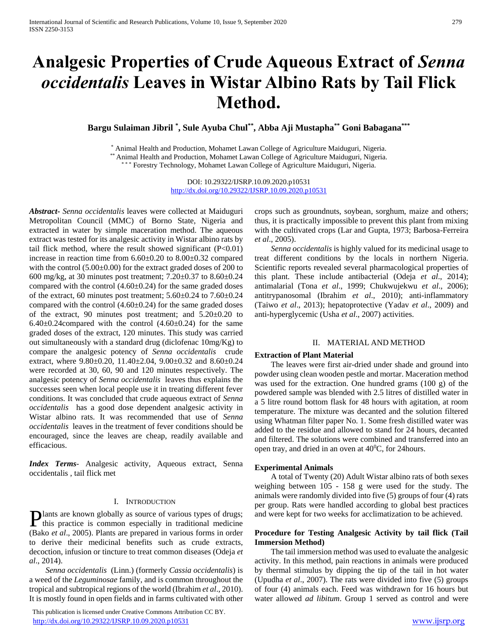# **Analgesic Properties of Crude Aqueous Extract of** *Senna occidentalis* **Leaves in Wistar Albino Rats by Tail Flick Method.**

**Bargu Sulaiman Jibril \* , Sule Ayuba Chul\*\*, Abba Aji Mustapha\*\* Goni Babagana\*\*\***

\* Animal Health and Production, Mohamet Lawan College of Agriculture Maiduguri, Nigeria. \*\* Animal Health and Production, Mohamet Lawan College of Agriculture Maiduguri, Nigeria.

\*\* Forestry Technology, Mohamet Lawan College of Agriculture Maiduguri, Nigeria.

DOI: 10.29322/IJSRP.10.09.2020.p10531 <http://dx.doi.org/10.29322/IJSRP.10.09.2020.p10531>

*Abstract***-** *Senna occidentalis* leaves were collected at Maiduguri Metropolitan Council (MMC) of Borno State, Nigeria and extracted in water by simple maceration method. The aqueous extract was tested for its analgesic activity in Wistar albino rats by tail flick method, where the result showed significant  $(P<0.01)$ increase in reaction time from 6.60±0.20 to 8.00±0.32 compared with the control (5.00±0.00) for the extract graded doses of 200 to 600 mg/kg, at 30 minutes post treatment; 7.20±0.37 to 8.60±0.24 compared with the control (4.60±0.24) for the same graded doses of the extract, 60 minutes post treatment; 5.60±0.24 to 7.60±0.24 compared with the control  $(4.60\pm0.24)$  for the same graded doses of the extract, 90 minutes post treatment; and 5.20±0.20 to  $6.40\pm0.24$ compared with the control  $(4.60\pm0.24)$  for the same graded doses of the extract, 120 minutes. This study was carried out simultaneously with a standard drug (diclofenac 10mg/Kg) to compare the analgesic potency of *Senna occidentalis* crude extract, where 9.80±0.20, 11.40±2.04, 9.00±0.32 and 8.60±0.24 were recorded at 30, 60, 90 and 120 minutes respectively. The analgesic potency of *Senna occidentalis* leaves thus explains the successes seen when local people use it in treating different fever conditions. It was concluded that crude aqueous extract of *Senna occidentalis* has a good dose dependent analgesic activity in Wistar albino rats. It was recommended that use of *Senna occidentalis* leaves in the treatment of fever conditions should be encouraged, since the leaves are cheap, readily available and efficacious.

*Index Terms*- Analgesic activity, Aqueous extract, Senna occidentalis , tail flick met

## I. INTRODUCTION

lants are known globally as source of various types of drugs; **Plants are known globally as source of various types of drugs;**<br>this practice is common especially in traditional medicine (Bako *et al*., 2005). Plants are prepared in various forms in order to derive their medicinal benefits such as crude extracts, decoction, infusion or tincture to treat common diseases (Odeja *et al*., 2014).

 *Senna occidentalis* (Linn.) (formerly *Cassia occidentalis*) is a weed of the *Leguminosae* family, and is common throughout the tropical and subtropical regions of the world (Ibrahim *et al*., 2010). It is mostly found in open fields and in farms cultivated with other

 This publication is licensed under Creative Commons Attribution CC BY. <http://dx.doi.org/10.29322/IJSRP.10.09.2020.p10531> [www.ijsrp.org](http://ijsrp.org/)

crops such as groundnuts, soybean, sorghum, maize and others; thus, it is practically impossible to prevent this plant from mixing with the cultivated crops (Lar and Gupta, 1973; Barbosa-Ferreira *et al*., 2005).

 *Senna occidentalis* is highly valued for its medicinal usage to treat different conditions by the locals in northern Nigeria. Scientific reports revealed several pharmacological properties of this plant. These include antibacterial (Odeja *et al*., 2014); antimalarial (Tona *et al*., 1999; Chukwujekwu *et al*., 2006); antitrypanosomal (Ibrahim *et al*., 2010); anti-inflammatory (Taiwo *et al*., 2013); hepatoprotective (Yadav *et al*., 2009) and anti-hyperglycemic (Usha *et al*., 2007) activities.

# II. MATERIAL AND METHOD

#### **Extraction of Plant Material**

The leaves were first air-dried under shade and ground into powder using clean wooden pestle and mortar. Maceration method was used for the extraction. One hundred grams (100 g) of the powdered sample was blended with 2.5 litres of distilled water in a 5 litre round bottom flask for 48 hours with agitation, at room temperature. The mixture was decanted and the solution filtered using Whatman filter paper No. 1. Some fresh distilled water was added to the residue and allowed to stand for 24 hours, decanted and filtered. The solutions were combined and transferred into an open tray, and dried in an oven at  $40^{\circ}$ C, for 24 hours.

#### **Experimental Animals**

A total of Twenty (20) Adult Wistar albino rats of both sexes weighing between 105 - 158 g were used for the study. The animals were randomly divided into five (5) groups of four (4) rats per group. Rats were handled according to global best practices and were kept for two weeks for acclimatization to be achieved.

# **Procedure for Testing Analgesic Activity by tail flick (Tail Immersion Method)**

The tail immersion method was used to evaluate the analgesic activity. In this method, pain reactions in animals were produced by thermal stimulus by dipping the tip of the tail in hot water (Upudha *et al*., 2007). The rats were divided into five (5) groups of four (4) animals each. Feed was withdrawn for 16 hours but water allowed *ad libitum*. Group 1 served as control and were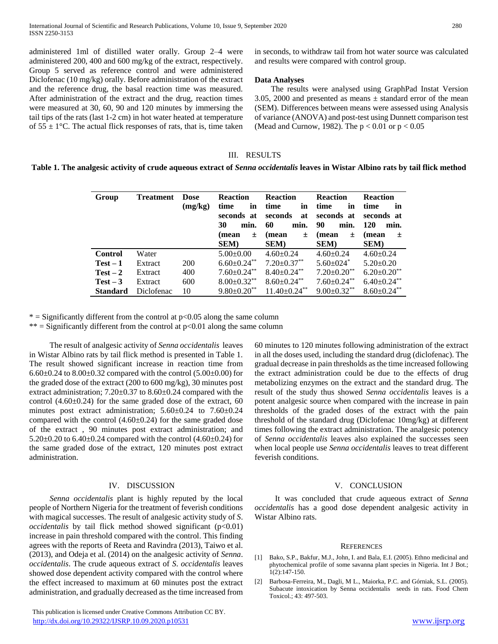administered 1ml of distilled water orally. Group 2–4 were administered 200, 400 and 600 mg/kg of the extract, respectively. Group 5 served as reference control and were administered Diclofenac (10 mg/kg) orally. Before administration of the extract and the reference drug, the basal reaction time was measured. After administration of the extract and the drug, reaction times were measured at 30, 60, 90 and 120 minutes by immersing the tail tips of the rats (last 1-2 cm) in hot water heated at temperature of  $55 \pm 1$ °C. The actual flick responses of rats, that is, time taken

in seconds, to withdraw tail from hot water source was calculated and results were compared with control group.

# **Data Analyses**

The results were analysed using GraphPad Instat Version 3.05, 2000 and presented as means  $\pm$  standard error of the mean (SEM). Differences between means were assessed using Analysis of variance (ANOVA) and post-test using Dunnett comparison test (Mead and Curnow, 1982). The  $p < 0.01$  or  $p < 0.05$ 

# III. RESULTS

|  | Table 1. The analgesic activity of crude aqueous extract of Senna occidentalis leaves in Wistar Albino rats by tail flick method |  |
|--|----------------------------------------------------------------------------------------------------------------------------------|--|
|  |                                                                                                                                  |  |

| Group           | <b>Treatment</b> | Dose<br>(mg/kg) | <b>Reaction</b><br>in<br>time<br>seconds at<br>30<br>min.<br>(mean<br>土<br><b>SEM</b> ) | <b>Reaction</b><br>time<br>in<br>seconds<br>at<br>60<br>min.<br>(mean<br>$\pm$<br><b>SEM</b> ) | <b>Reaction</b><br>time<br>in<br>seconds at<br>90<br>min.<br>(mean<br>土<br><b>SEM</b> ) | <b>Reaction</b><br>time<br>in<br>seconds at<br>120<br>min.<br>(mean<br>土<br><b>SEM</b> ) |
|-----------------|------------------|-----------------|-----------------------------------------------------------------------------------------|------------------------------------------------------------------------------------------------|-----------------------------------------------------------------------------------------|------------------------------------------------------------------------------------------|
| <b>Control</b>  | Water            |                 | $5.00 \pm 0.00$                                                                         | $4.60 \pm 0.24$                                                                                | $4.60 \pm 0.24$                                                                         | $4.60 \pm 0.24$                                                                          |
| $Test-1$        | Extract          | <b>200</b>      | $6.60 \pm 0.24$ **                                                                      | $7.20 \pm 0.37$ **                                                                             | $5.60 \pm 0.24$ <sup>*</sup>                                                            | $5.20 \pm 0.20$                                                                          |
| $Test-2$        | Extract          | 400             | $7.60 \pm 0.24$ **                                                                      | $8.40 \pm 0.24$ **                                                                             | $7.20 \pm 0.20$ <sup>**</sup>                                                           | $6.20 \pm 0.20$ **                                                                       |
| $Test-3$        | Extract          | 600             | $8.00 \pm 0.32$ **                                                                      | $8.60 \pm 0.24$ **                                                                             | $7.60 \pm 0.24$ **                                                                      | $6.40 \pm 0.24$ **                                                                       |
| <b>Standard</b> | Diclofenac       | 10              | $9.80 \pm 0.20$ **                                                                      | $11.40 \pm 0.24$ **                                                                            | $9.00 \pm 0.32$ **                                                                      | $8.60 \pm 0.24$ **                                                                       |

 $*$  = Significantly different from the control at  $p<0.05$  along the same column

\*\* = Significantly different from the control at  $p<0.01$  along the same column

The result of analgesic activity of *Senna occidentalis* leaves in Wistar Albino rats by tail flick method is presented in Table 1. The result showed significant increase in reaction time from 6.60 $\pm$ 0.24 to 8.00 $\pm$ 0.32 compared with the control (5.00 $\pm$ 0.00) for the graded dose of the extract (200 to 600 mg/kg), 30 minutes post extract administration;  $7.20 \pm 0.37$  to  $8.60 \pm 0.24$  compared with the control  $(4.60\pm0.24)$  for the same graded dose of the extract, 60 minutes post extract administration; 5.60±0.24 to 7.60±0.24 compared with the control  $(4.60\pm0.24)$  for the same graded dose of the extract , 90 minutes post extract administration; and 5.20±0.20 to 6.40±0.24 compared with the control (4.60±0.24) for the same graded dose of the extract, 120 minutes post extract administration.

# IV. DISCUSSION

 *Senna occidentalis* plant is highly reputed by the local people of Northern Nigeria for the treatment of feverish conditions with magical successes. The result of analgesic activity study of *S*. *occidentalis* by tail flick method showed significant (p<0.01) increase in pain threshold compared with the control. This finding agrees with the reports of Reeta and Ravindra (2013), Taiwo et al. (2013), and Odeja et al. (2014) on the analgesic activity of *Senna*. *occidentalis*. The crude aqueous extract of *S*. *occidentalis* leaves showed dose dependent activity compared with the control where the effect increased to maximum at 60 minutes post the extract administration, and gradually decreased as the time increased from 60 minutes to 120 minutes following administration of the extract in all the doses used, including the standard drug (diclofenac). The gradual decrease in pain thresholds as the time increased following the extract administration could be due to the effects of drug metabolizing enzymes on the extract and the standard drug. The result of the study thus showed *Senna occidentalis* leaves is a potent analgesic source when compared with the increase in pain thresholds of the graded doses of the extract with the pain threshold of the standard drug (Diclofenac 10mg/kg) at different times following the extract administration. The analgesic potency of *Senna occidentalis* leaves also explained the successes seen when local people use *Senna occidentalis* leaves to treat different feverish conditions.

#### V. CONCLUSION

It was concluded that crude aqueous extract of *Senna occidentalis* has a good dose dependent analgesic activity in Wistar Albino rats.

#### **REFERENCES**

- [1] Bako, S.P., Bakfur, M.J., John, I. and Bala, E.I. (2005). Ethno medicinal and phytochemical profile of some savanna plant species in Nigeria. Int J Bot.; 1(2):147-150.
- [2] Barbosa-Ferreira, M., Dagli, M L., Maiorka, P.C. and Górniak, S.L. (2005). Subacute intoxication by Senna occidentalis seeds in rats. Food Chem Toxicol.; 43: 497-503.